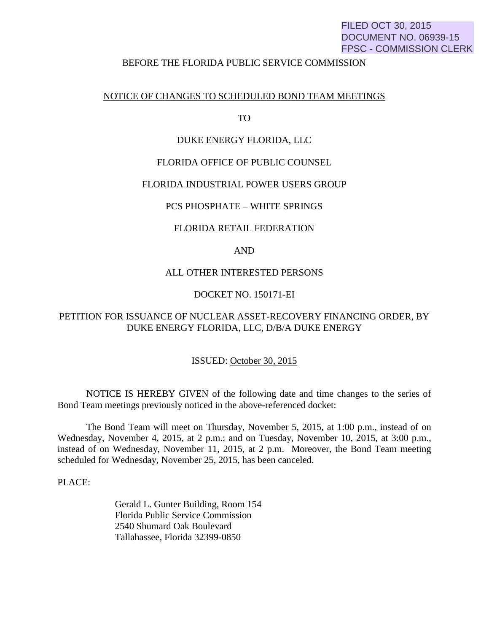# FILED OCT 30, 2015 DOCUMENT NO. 06939-15 FPSC - COMMISSION CLERK

## BEFORE THE FLORIDA PUBLIC SERVICE COMMISSION

### NOTICE OF CHANGES TO SCHEDULED BOND TEAM MEETINGS

TO

### DUKE ENERGY FLORIDA, LLC

### FLORIDA OFFICE OF PUBLIC COUNSEL

## FLORIDA INDUSTRIAL POWER USERS GROUP

## PCS PHOSPHATE – WHITE SPRINGS

### FLORIDA RETAIL FEDERATION

## AND

#### ALL OTHER INTERESTED PERSONS

## DOCKET NO. 150171-EI

# PETITION FOR ISSUANCE OF NUCLEAR ASSET-RECOVERY FINANCING ORDER, BY DUKE ENERGY FLORIDA, LLC, D/B/A DUKE ENERGY

#### ISSUED: October 30, 2015

 NOTICE IS HEREBY GIVEN of the following date and time changes to the series of Bond Team meetings previously noticed in the above-referenced docket:

 The Bond Team will meet on Thursday, November 5, 2015, at 1:00 p.m., instead of on Wednesday, November 4, 2015, at 2 p.m.; and on Tuesday, November 10, 2015, at 3:00 p.m., instead of on Wednesday, November 11, 2015, at 2 p.m. Moreover, the Bond Team meeting scheduled for Wednesday, November 25, 2015, has been canceled.

PLACE:

 Gerald L. Gunter Building, Room 154 Florida Public Service Commission 2540 Shumard Oak Boulevard Tallahassee, Florida 32399-0850